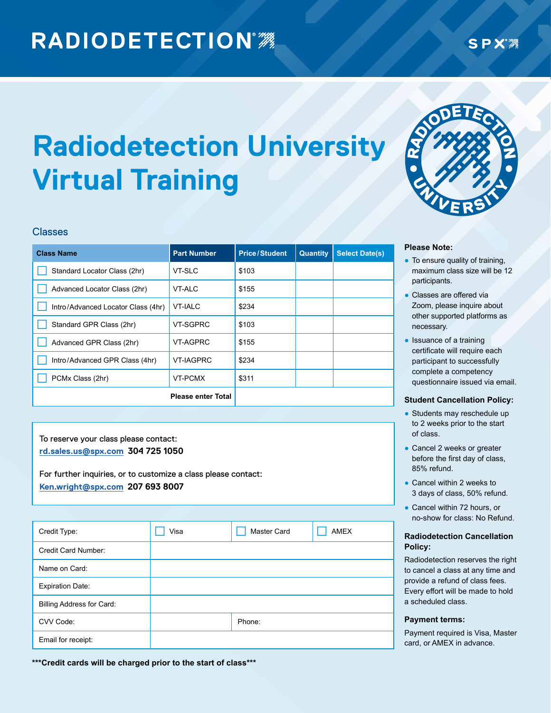# **RADIODETECTION®**

# **Radiodetection University Virtual Training**

#### Classes

| <b>Class Name</b>                  | <b>Part Number</b> | <b>Price/Student</b> | <b>Quantity</b> | <b>Select Date(s)</b> |
|------------------------------------|--------------------|----------------------|-----------------|-----------------------|
| Standard Locator Class (2hr)       | VT-SLC             | \$103                |                 |                       |
| Advanced Locator Class (2hr)       | VT-ALC             | \$155                |                 |                       |
| Intro/Advanced Locator Class (4hr) | <b>VT-IALC</b>     | \$234                |                 |                       |
| Standard GPR Class (2hr)           | VT-SGPRC           | \$103                |                 |                       |
| Advanced GPR Class (2hr)           | VT-AGPRC           | \$155                |                 |                       |
| Intro/Advanced GPR Class (4hr)     | <b>VT-IAGPRC</b>   | \$234                |                 |                       |
| PCMx Class (2hr)                   | VT-PCMX            | \$311                |                 |                       |
| <b>Please enter Total</b>          |                    |                      |                 |                       |

To reserve your class please contact: **rd.sales.us@spx.com 304 725 1050**

For further inquiries, or to customize a class please contact: **Ken.wright@spx.com 207 693 8007**

| Credit Type:                     | Visa | <b>Master Card</b> | AMEX |
|----------------------------------|------|--------------------|------|
| Credit Card Number:              |      |                    |      |
| Name on Card:                    |      |                    |      |
| <b>Expiration Date:</b>          |      |                    |      |
| <b>Billing Address for Card:</b> |      |                    |      |
| CVV Code:                        |      | Phone:             |      |
| Email for receipt:               |      |                    |      |

**\*\*\*Credit cards will be charged prior to the start of class\*\*\***



#### **Please Note:**

- To ensure quality of training, maximum class size will be 12 participants.
- Classes are offered via Zoom, please inquire about other supported platforms as necessary.
- Issuance of a training certificate will require each participant to successfully complete a competency questionnaire issued via email.

#### **Student Cancellation Policy:**

- Students may reschedule up to 2 weeks prior to the start of class.
- Cancel 2 weeks or greater before the first day of class, 85% refund.
- Cancel within 2 weeks to 3 days of class, 50% refund.
- Cancel within 72 hours, or no-show for class: No Refund.

#### **Radiodetection Cancellation Policy:**

Radiodetection reserves the right to cancel a class at any time and provide a refund of class fees. Every effort will be made to hold a scheduled class.

#### **Payment terms:**

Payment required is Visa, Master card, or AMEX in advance.